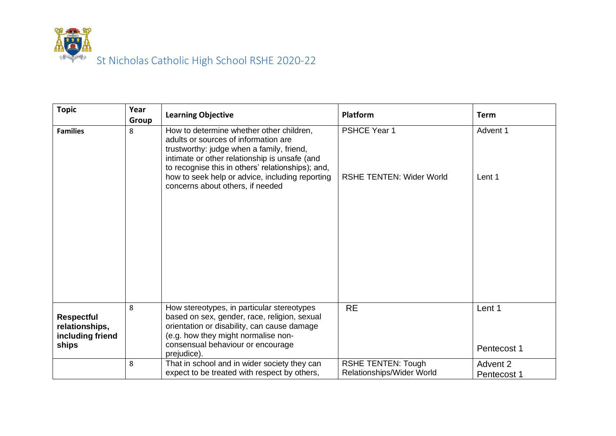

| <b>Topic</b>                                                     | Year<br>Group | <b>Learning Objective</b>                                                                                                                                                                                                                                                                                                  | <b>Platform</b>                                        | <b>Term</b>             |
|------------------------------------------------------------------|---------------|----------------------------------------------------------------------------------------------------------------------------------------------------------------------------------------------------------------------------------------------------------------------------------------------------------------------------|--------------------------------------------------------|-------------------------|
| <b>Families</b>                                                  | 8             | How to determine whether other children,<br>adults or sources of information are<br>trustworthy: judge when a family, friend,<br>intimate or other relationship is unsafe (and<br>to recognise this in others' relationships); and,<br>how to seek help or advice, including reporting<br>concerns about others, if needed | <b>PSHCE Year 1</b><br><b>RSHE TENTEN: Wider World</b> | Advent 1<br>Lent 1      |
| <b>Respectful</b><br>relationships,<br>including friend<br>ships | 8             | How stereotypes, in particular stereotypes<br>based on sex, gender, race, religion, sexual<br>orientation or disability, can cause damage<br>(e.g. how they might normalise non-<br>consensual behaviour or encourage<br>prejudice).                                                                                       | <b>RE</b>                                              | Lent 1<br>Pentecost 1   |
|                                                                  | 8             | That in school and in wider society they can<br>expect to be treated with respect by others,                                                                                                                                                                                                                               | <b>RSHE TENTEN: Tough</b><br>Relationships/Wider World | Advent 2<br>Pentecost 1 |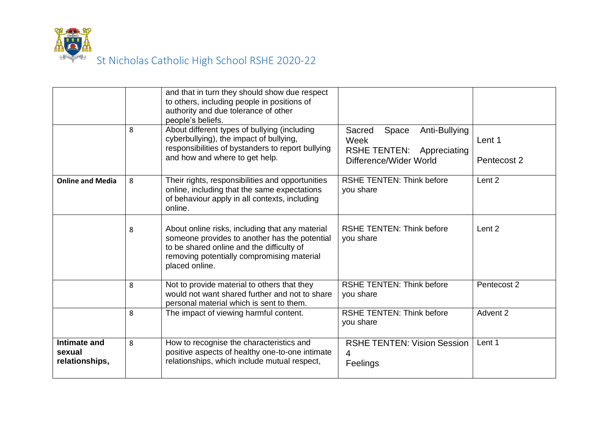

|                                          |   | and that in turn they should show due respect<br>to others, including people in positions of<br>authority and due tolerance of other<br>people's beliefs.                                                     |                                                                                                           |                       |
|------------------------------------------|---|---------------------------------------------------------------------------------------------------------------------------------------------------------------------------------------------------------------|-----------------------------------------------------------------------------------------------------------|-----------------------|
|                                          | 8 | About different types of bullying (including<br>cyberbullying), the impact of bullying,<br>responsibilities of bystanders to report bullying<br>and how and where to get help.                                | Anti-Bullying<br>Sacred<br>Space<br>Week<br><b>RSHE TENTEN:</b><br>Appreciating<br>Difference/Wider World | Lent 1<br>Pentecost 2 |
| <b>Online and Media</b>                  | 8 | Their rights, responsibilities and opportunities<br>online, including that the same expectations<br>of behaviour apply in all contexts, including<br>online.                                                  | <b>RSHE TENTEN: Think before</b><br>you share                                                             | Lent <sub>2</sub>     |
|                                          | 8 | About online risks, including that any material<br>someone provides to another has the potential<br>to be shared online and the difficulty of<br>removing potentially compromising material<br>placed online. | <b>RSHE TENTEN: Think before</b><br>you share                                                             | Lent 2                |
|                                          | 8 | Not to provide material to others that they<br>would not want shared further and not to share<br>personal material which is sent to them.                                                                     | <b>RSHE TENTEN: Think before</b><br>you share                                                             | Pentecost 2           |
|                                          | 8 | The impact of viewing harmful content.                                                                                                                                                                        | <b>RSHE TENTEN: Think before</b><br>you share                                                             | Advent 2              |
| Intimate and<br>sexual<br>relationships, | 8 | How to recognise the characteristics and<br>positive aspects of healthy one-to-one intimate<br>relationships, which include mutual respect,                                                                   | <b>RSHE TENTEN: Vision Session</b><br>4<br>Feelings                                                       | Lent 1                |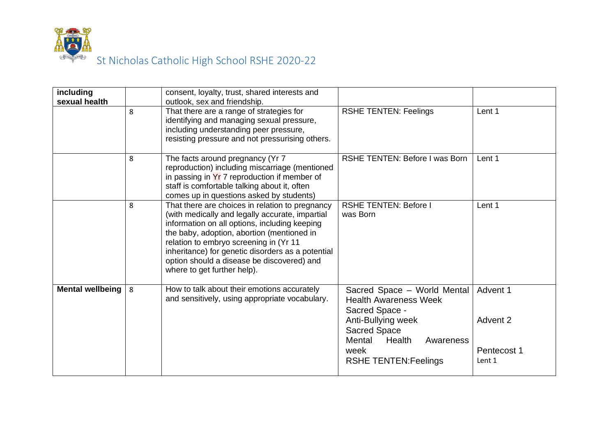

| including              |   | consent, loyalty, trust, shared interests and                                                    |                                                             |             |
|------------------------|---|--------------------------------------------------------------------------------------------------|-------------------------------------------------------------|-------------|
| sexual health          | 8 | outlook, sex and friendship.<br>That there are a range of strategies for                         | <b>RSHE TENTEN: Feelings</b>                                | Lent 1      |
|                        |   | identifying and managing sexual pressure,                                                        |                                                             |             |
|                        |   | including understanding peer pressure,                                                           |                                                             |             |
|                        |   | resisting pressure and not pressurising others.                                                  |                                                             |             |
|                        | 8 | The facts around pregnancy (Yr 7<br>reproduction) including miscarriage (mentioned               | RSHE TENTEN: Before I was Born                              | Lent 1      |
|                        |   | in passing in $Yr$ 7 reproduction if member of                                                   |                                                             |             |
|                        |   | staff is comfortable talking about it, often<br>comes up in questions asked by students)         |                                                             |             |
|                        | 8 | That there are choices in relation to pregnancy                                                  | <b>RSHE TENTEN: Before I</b>                                | Lent 1      |
|                        |   | (with medically and legally accurate, impartial<br>information on all options, including keeping | was Born                                                    |             |
|                        |   | the baby, adoption, abortion (mentioned in                                                       |                                                             |             |
|                        |   | relation to embryo screening in (Yr 11                                                           |                                                             |             |
|                        |   | inheritance) for genetic disorders as a potential<br>option should a disease be discovered) and  |                                                             |             |
|                        |   | where to get further help).                                                                      |                                                             |             |
|                        |   |                                                                                                  |                                                             |             |
| Mental wellbeing $ 8 $ |   | How to talk about their emotions accurately<br>and sensitively, using appropriate vocabulary.    | Sacred Space - World Mental<br><b>Health Awareness Week</b> | Advent 1    |
|                        |   |                                                                                                  | Sacred Space -                                              |             |
|                        |   |                                                                                                  | Anti-Bullying week                                          | Advent 2    |
|                        |   |                                                                                                  | <b>Sacred Space</b>                                         |             |
|                        |   |                                                                                                  | Mental<br>Health<br>Awareness<br>week                       | Pentecost 1 |
|                        |   |                                                                                                  | <b>RSHE TENTEN: Feelings</b>                                | Lent 1      |
|                        |   |                                                                                                  |                                                             |             |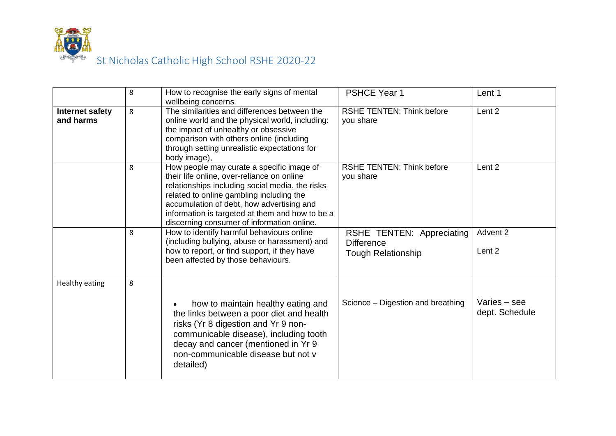

|                              | 8 | How to recognise the early signs of mental                                                                                                                                                                                                                                                                                           | <b>PSHCE Year 1</b>                                                         | Lent 1                           |
|------------------------------|---|--------------------------------------------------------------------------------------------------------------------------------------------------------------------------------------------------------------------------------------------------------------------------------------------------------------------------------------|-----------------------------------------------------------------------------|----------------------------------|
| Internet safety<br>and harms | 8 | wellbeing concerns.<br>The similarities and differences between the<br>online world and the physical world, including:<br>the impact of unhealthy or obsessive<br>comparison with others online (including<br>through setting unrealistic expectations for<br>body image),                                                           | <b>RSHE TENTEN: Think before</b><br>you share                               | Lent <sub>2</sub>                |
|                              | 8 | How people may curate a specific image of<br>their life online, over-reliance on online<br>relationships including social media, the risks<br>related to online gambling including the<br>accumulation of debt, how advertising and<br>information is targeted at them and how to be a<br>discerning consumer of information online. | <b>RSHE TENTEN: Think before</b><br>you share                               | Lent 2                           |
|                              | 8 | How to identify harmful behaviours online<br>(including bullying, abuse or harassment) and<br>how to report, or find support, if they have<br>been affected by those behaviours.                                                                                                                                                     | RSHE TENTEN: Appreciating<br><b>Difference</b><br><b>Tough Relationship</b> | Advent 2<br>Lent 2               |
| <b>Healthy eating</b>        | 8 | how to maintain healthy eating and<br>the links between a poor diet and health<br>risks (Yr 8 digestion and Yr 9 non-<br>communicable disease), including tooth<br>decay and cancer (mentioned in Yr 9<br>non-communicable disease but not y<br>detailed)                                                                            | Science – Digestion and breathing                                           | Varies $-$ see<br>dept. Schedule |